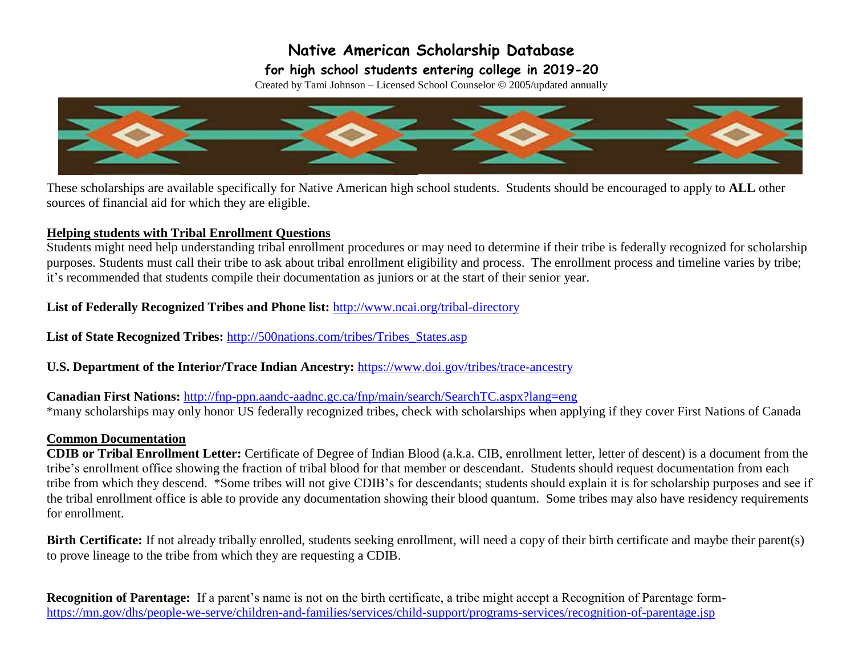### **for high school students entering college in 2019-20**

Created by Tami Johnson - Licensed School Counselor  $\circ$  2005/updated annually



 These scholarships are available specifically for Native American high school students. Students should be encouraged to apply to **ALL** other sources of financial aid for which they are eligible.

#### **Helping students with Tribal Enrollment Questions**

Students might need help understanding tribal enrollment procedures or may need to determine if their tribe is federally recognized for scholarship purposes. Students must call their tribe to ask about tribal enrollment eligibility and process. The enrollment process and timeline varies by tribe; it's recommended that students compile their documentation as juniors or at the start of their senior year.

#### **List of Federally Recognized Tribes and Phone list:** <http://www.ncai.org/tribal-directory>

**List of State Recognized Tribes:** [http://500nations.com/tribes/Tribes\\_States.asp](http://500nations.com/tribes/Tribes_States.asp) 

**U.S. Department of the Interior/Trace Indian Ancestry:** <https://www.doi.gov/tribes/trace-ancestry>

**Canadian First Nations:** <http://fnp-ppn.aandc-aadnc.gc.ca/fnp/main/search/SearchTC.aspx?lang=eng> \*many scholarships may only honor US federally recognized tribes, check with scholarships when applying if they cover First Nations of Canada

#### **Common Documentation**

 tribe's enrollment office showing the fraction of tribal blood for that member or descendant. Students should request documentation from each the tribal enrollment office is able to provide any documentation showing their blood quantum. Some tribes may also have residency requirements **CDIB or Tribal Enrollment Letter:** Certificate of Degree of Indian Blood (a.k.a. CIB, enrollment letter, letter of descent) is a document from the tribe from which they descend. \*Some tribes will not give CDIB's for descendants; students should explain it is for scholarship purposes and see if for enrollment.

 to prove lineage to the tribe from which they are requesting a CDIB. **Birth Certificate:** If not already tribally enrolled, students seeking enrollment, will need a copy of their birth certificate and maybe their parent(s)

 **Recognition of Parentage:** If a parent's name is not on the birth certificate, a tribe might accept a Recognition of Parentage form<https://mn.gov/dhs/people-we-serve/children-and-families/services/child-support/programs-services/recognition-of-parentage.jsp>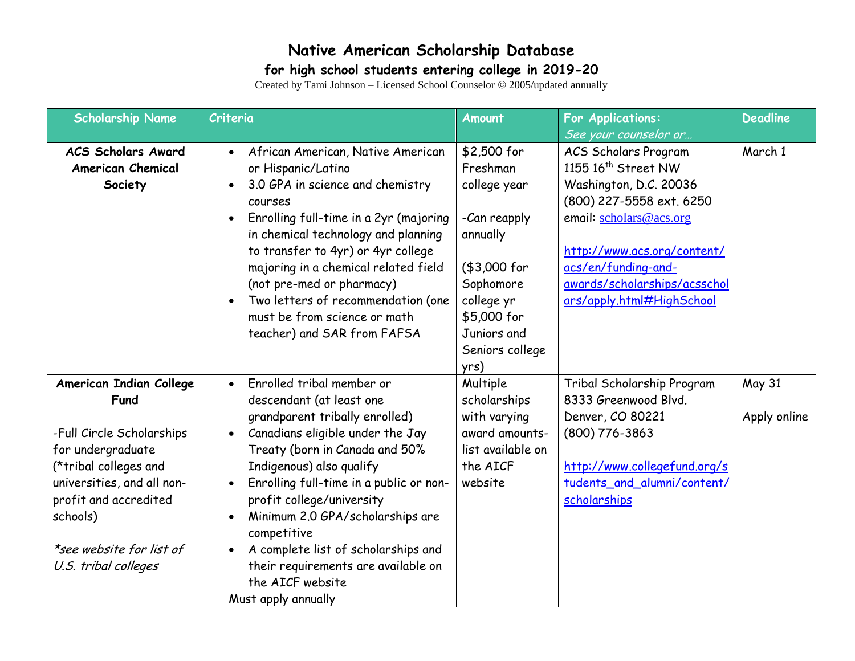### **for high school students entering college in 2019-20**

| <b>Scholarship Name</b>                                                                                                                                                                                                           | Criteria                                                                                                                                                                                                                                                                                                                                                                                                                                                                             | <b>Amount</b>                                                                                                                                                           | <b>For Applications:</b>                                                                                                                                                                                                                                                                    | <b>Deadline</b>               |
|-----------------------------------------------------------------------------------------------------------------------------------------------------------------------------------------------------------------------------------|--------------------------------------------------------------------------------------------------------------------------------------------------------------------------------------------------------------------------------------------------------------------------------------------------------------------------------------------------------------------------------------------------------------------------------------------------------------------------------------|-------------------------------------------------------------------------------------------------------------------------------------------------------------------------|---------------------------------------------------------------------------------------------------------------------------------------------------------------------------------------------------------------------------------------------------------------------------------------------|-------------------------------|
| <b>ACS Scholars Award</b><br><b>American Chemical</b><br>Society                                                                                                                                                                  | African American, Native American<br>or Hispanic/Latino<br>3.0 GPA in science and chemistry<br>$\bullet$<br>courses<br>Enrolling full-time in a 2yr (majoring<br>$\bullet$<br>in chemical technology and planning<br>to transfer to 4yr) or 4yr college<br>majoring in a chemical related field<br>(not pre-med or pharmacy)<br>Two letters of recommendation (one<br>must be from science or math<br>teacher) and SAR from FAFSA                                                    | \$2,500 for<br>Freshman<br>college year<br>-Can reapply<br>annually<br>(\$3,000 for<br>Sophomore<br>college yr<br>\$5,000 for<br>Juniors and<br>Seniors college<br>yrs) | See your counselor or<br><b>ACS Scholars Program</b><br>1155 16 <sup>th</sup> Street NW<br>Washington, D.C. 20036<br>(800) 227-5558 ext. 6250<br>email: scholars@acs.org<br>http://www.acs.org/content/<br>acs/en/funding-and-<br>awards/scholarships/acsschol<br>ars/apply.html#HighSchool | March 1                       |
| American Indian College<br>Fund<br>-Full Circle Scholarships<br>for undergraduate<br>(*tribal colleges and<br>universities, and all non-<br>profit and accredited<br>schools)<br>*see website for list of<br>U.S. tribal colleges | Enrolled tribal member or<br>$\bullet$<br>descendant (at least one<br>grandparent tribally enrolled)<br>Canadians eligible under the Jay<br>Treaty (born in Canada and 50%<br>Indigenous) also qualify<br>Enrolling full-time in a public or non-<br>profit college/university<br>Minimum 2.0 GPA/scholarships are<br>$\bullet$<br>competitive<br>A complete list of scholarships and<br>$\bullet$<br>their requirements are available on<br>the AICF website<br>Must apply annually | Multiple<br>scholarships<br>with varying<br>award amounts-<br>list available on<br>the AICF<br>website                                                                  | Tribal Scholarship Program<br>8333 Greenwood Blvd.<br>Denver, CO 80221<br>(800) 776-3863<br>http://www.collegefund.org/s<br>tudents_and_alumni/content/<br>scholarships                                                                                                                     | <b>May 31</b><br>Apply online |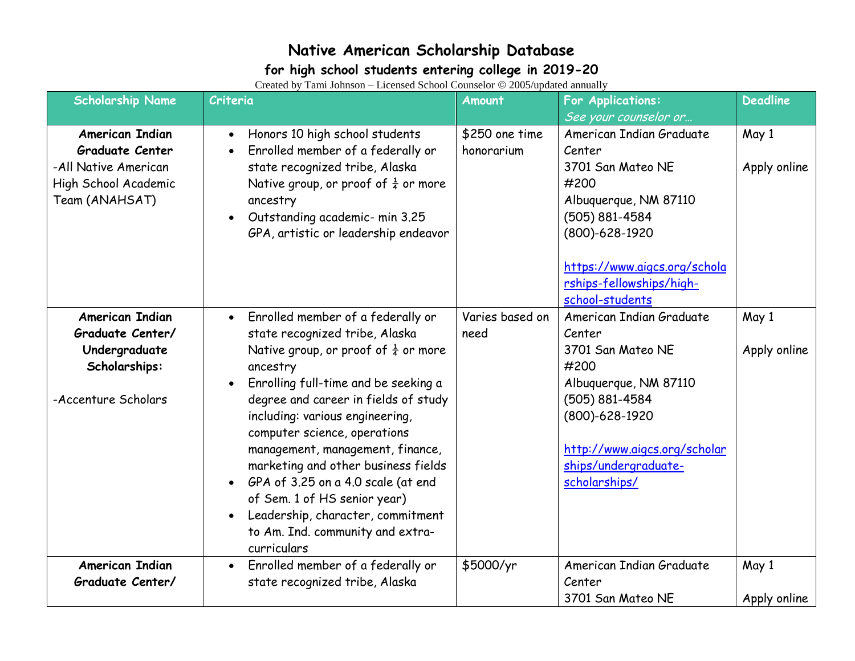#### **for high school students entering college in 2019-20**

| <b>Scholarship Name</b>                                                                                            | $\alpha$ and $\alpha$ and $\alpha$ and $\alpha$ are $\alpha$ and $\alpha$ and $\alpha$ and $\alpha$ and $\alpha$ and $\alpha$ and $\alpha$ and $\alpha$ and $\alpha$ and $\alpha$ and $\alpha$ and $\alpha$ and $\alpha$ and $\alpha$ and $\alpha$ and $\alpha$ and $\alpha$ and $\alpha$ and $\alpha$ and $\alpha$ and $\alpha$<br>Criteria                                                                                                                                                                    | Amount                       | For Applications:                                                                                                                                                                                     | <b>Deadline</b>       |
|--------------------------------------------------------------------------------------------------------------------|-----------------------------------------------------------------------------------------------------------------------------------------------------------------------------------------------------------------------------------------------------------------------------------------------------------------------------------------------------------------------------------------------------------------------------------------------------------------------------------------------------------------|------------------------------|-------------------------------------------------------------------------------------------------------------------------------------------------------------------------------------------------------|-----------------------|
|                                                                                                                    |                                                                                                                                                                                                                                                                                                                                                                                                                                                                                                                 |                              | See your counselor or                                                                                                                                                                                 |                       |
| <b>American Indian</b><br><b>Graduate Center</b><br>-All Native American<br>High School Academic<br>Team (ANAHSAT) | Honors 10 high school students<br>Enrolled member of a federally or<br>state recognized tribe, Alaska<br>Native group, or proof of $\frac{1}{4}$ or more<br>ancestry<br>Outstanding academic- min 3.25<br>GPA, artistic or leadership endeavor                                                                                                                                                                                                                                                                  | \$250 one time<br>honorarium | American Indian Graduate<br>Center<br>3701 San Mateo NE<br>#200<br>Albuquerque, NM 87110<br>(505) 881-4584<br>(800)-628-1920                                                                          | May 1<br>Apply online |
|                                                                                                                    |                                                                                                                                                                                                                                                                                                                                                                                                                                                                                                                 |                              | https://www.aigcs.org/schola<br>rships-fellowships/high-<br>school-students                                                                                                                           |                       |
| American Indian<br>Graduate Center/<br>Undergraduate<br>Scholarships:<br>-Accenture Scholars                       | Enrolled member of a federally or<br>state recognized tribe, Alaska<br>Native group, or proof of $\frac{1}{4}$ or more<br>ancestry<br>Enrolling full-time and be seeking a<br>degree and career in fields of study<br>including: various engineering,<br>computer science, operations<br>management, management, finance,<br>marketing and other business fields<br>GPA of 3.25 on a 4.0 scale (at end<br>of Sem. 1 of HS senior year)<br>Leadership, character, commitment<br>to Am. Ind. community and extra- | Varies based on<br>need      | American Indian Graduate<br>Center<br>3701 San Mateo NE<br>#200<br>Albuquerque, NM 87110<br>(505) 881-4584<br>(800)-628-1920<br>http://www.aigcs.org/scholar<br>ships/undergraduate-<br>scholarships/ | May 1<br>Apply online |
| <b>American Indian</b>                                                                                             | curriculars<br>Enrolled member of a federally or                                                                                                                                                                                                                                                                                                                                                                                                                                                                | \$5000/yr                    | American Indian Graduate                                                                                                                                                                              | May 1                 |
| Graduate Center/                                                                                                   | state recognized tribe, Alaska                                                                                                                                                                                                                                                                                                                                                                                                                                                                                  |                              | Center<br>3701 San Mateo NE                                                                                                                                                                           | Apply online          |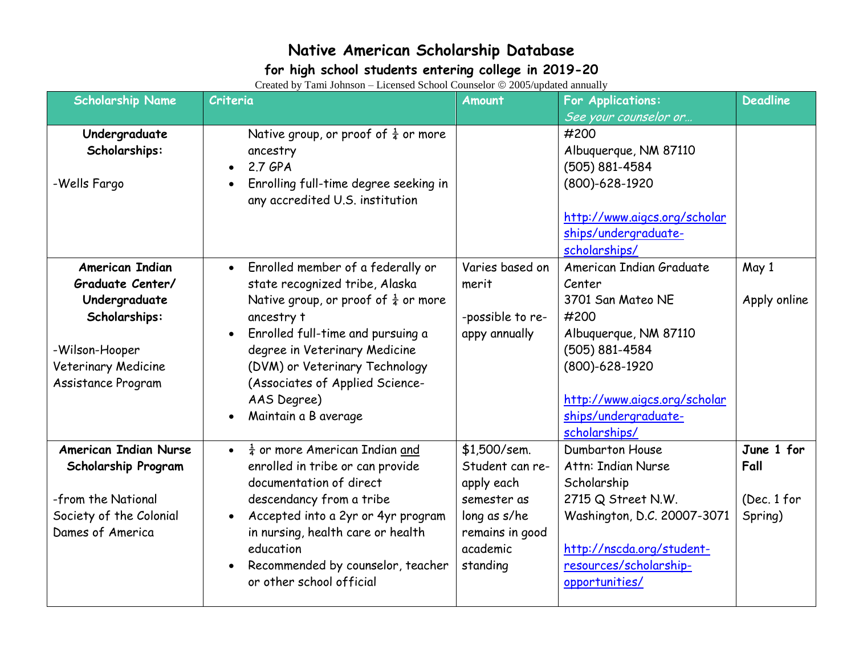### **for high school students entering college in 2019-20**

| <b>Scholarship Name</b>                                           | $C_{\rm 10000}$ $C_{\rm 2000}$ and $C_{\rm 1000}$ $C_{\rm 1000}$ $C_{\rm 0000}$ $C_{\rm 0000}$ appeared annually<br>Criteria | <b>Amount</b>                                   | <b>For Applications:</b>                                              | <b>Deadline</b>        |
|-------------------------------------------------------------------|------------------------------------------------------------------------------------------------------------------------------|-------------------------------------------------|-----------------------------------------------------------------------|------------------------|
|                                                                   |                                                                                                                              |                                                 | See your counselor or                                                 |                        |
| Undergraduate<br>Scholarships:                                    | Native group, or proof of $\frac{1}{4}$ or more<br>ancestry<br>2.7 GPA<br>$\bullet$                                          |                                                 | #200<br>Albuquerque, NM 87110<br>(505) 881-4584                       |                        |
| -Wells Fargo                                                      | Enrolling full-time degree seeking in<br>any accredited U.S. institution                                                     |                                                 | (800)-628-1920                                                        |                        |
|                                                                   |                                                                                                                              |                                                 | http://www.aigcs.org/scholar<br>ships/undergraduate-<br>scholarships/ |                        |
| <b>American Indian</b><br>Graduate Center/                        | • Enrolled member of a federally or<br>state recognized tribe, Alaska                                                        | Varies based on<br>merit                        | American Indian Graduate<br>Center                                    | May 1                  |
| Undergraduate<br>Scholarships:                                    | Native group, or proof of $\frac{1}{4}$ or more<br>ancestry t<br>Enrolled full-time and pursuing a<br>$\bullet$              | -possible to re-<br>appy annually               | 3701 San Mateo NE<br>#200<br>Albuquerque, NM 87110                    | Apply online           |
| -Wilson-Hooper<br>Veterinary Medicine<br>Assistance Program       | degree in Veterinary Medicine<br>(DVM) or Veterinary Technology<br>(Associates of Applied Science-                           |                                                 | (505) 881-4584<br>(800)-628-1920                                      |                        |
|                                                                   | AAS Degree)<br>Maintain a B average                                                                                          |                                                 | http://www.aigcs.org/scholar<br>ships/undergraduate-<br>scholarships/ |                        |
| <b>American Indian Nurse</b><br>Scholarship Program               | $\frac{1}{4}$ or more American Indian and<br>$\bullet$<br>enrolled in tribe or can provide<br>documentation of direct        | $$1,500$ /sem.<br>Student can re-<br>apply each | <b>Dumbarton House</b><br>Attn: Indian Nurse<br>Scholarship           | June 1 for<br>Fall     |
| -from the National<br>Society of the Colonial<br>Dames of America | descendancy from a tribe<br>Accepted into a 2yr or 4yr program<br>in nursing, health care or health                          | semester as<br>long as s/he<br>remains in good  | 2715 Q Street N.W.<br>Washington, D.C. 20007-3071                     | (Dec. 1 for<br>Spring) |
|                                                                   | education<br>Recommended by counselor, teacher<br>or other school official                                                   | academic<br>standing                            | http://nscda.org/student-<br>resources/scholarship-<br>opportunities/ |                        |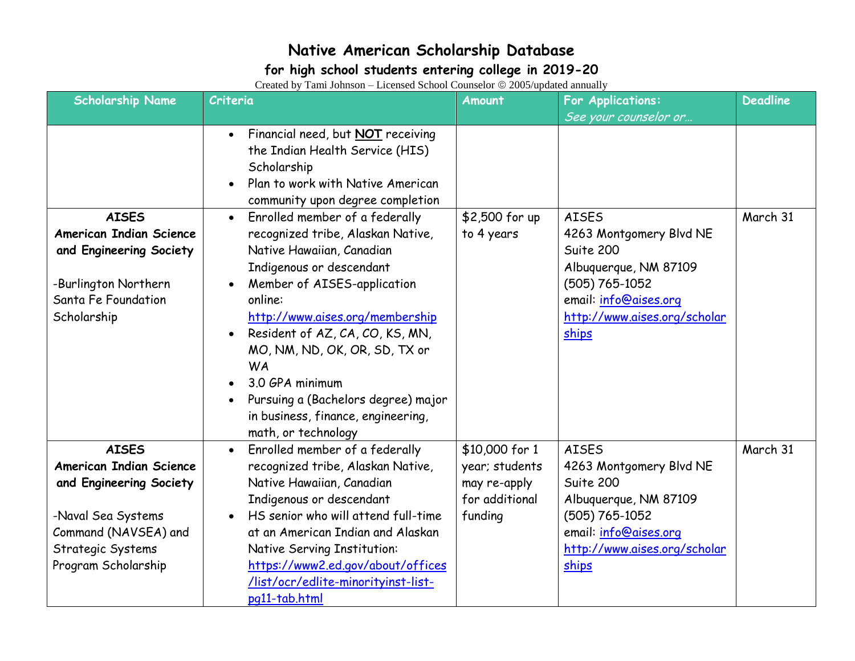### **for high school students entering college in 2019-20**

| <b>Scholarship Name</b>                                                                                                                                             | $C_{\rm 10000}$ $C_{\rm 2000}$ and $C_{\rm 1000}$ $C_{\rm 1000}$ $C_{\rm 0000}$ $C_{\rm 0000}$ appeared annually<br>Criteria                                                                                                                                                                                                                                                                                                                                                                                                                                                                                       | Amount                                                                        | For Applications:                                                                                                                                                                          | <b>Deadline</b> |
|---------------------------------------------------------------------------------------------------------------------------------------------------------------------|--------------------------------------------------------------------------------------------------------------------------------------------------------------------------------------------------------------------------------------------------------------------------------------------------------------------------------------------------------------------------------------------------------------------------------------------------------------------------------------------------------------------------------------------------------------------------------------------------------------------|-------------------------------------------------------------------------------|--------------------------------------------------------------------------------------------------------------------------------------------------------------------------------------------|-----------------|
| <b>AISES</b><br><b>American Indian Science</b><br>and Engineering Society<br>-Burlington Northern<br>Santa Fe Foundation<br>Scholarship                             | Financial need, but <b>NOT</b> receiving<br>$\bullet$<br>the Indian Health Service (HIS)<br>Scholarship<br>Plan to work with Native American<br>community upon degree completion<br>Enrolled member of a federally<br>$\bullet$<br>recognized tribe, Alaskan Native,<br>Native Hawaiian, Canadian<br>Indigenous or descendant<br>Member of AISES-application<br>online:<br>http://www.aises.org/membership<br>Resident of AZ, CA, CO, KS, MN,<br>MO, NM, ND, OK, OR, SD, TX or<br><b>WA</b><br>3.0 GPA minimum<br>Pursuing a (Bachelors degree) major<br>in business, finance, engineering,<br>math, or technology | \$2,500 for up<br>to 4 years                                                  | See your counselor or<br><b>AISES</b><br>4263 Montgomery Blvd NE<br>Suite 200<br>Albuquerque, NM 87109<br>(505) 765-1052<br>email: info@aises.org<br>http://www.aises.org/scholar<br>ships | March 31        |
| <b>AISES</b><br><b>American Indian Science</b><br>and Engineering Society<br>-Naval Sea Systems<br>Command (NAVSEA) and<br>Strategic Systems<br>Program Scholarship | Enrolled member of a federally<br>recognized tribe, Alaskan Native,<br>Native Hawaiian, Canadian<br>Indigenous or descendant<br>HS senior who will attend full-time<br>at an American Indian and Alaskan<br>Native Serving Institution:<br>https://www2.ed.gov/about/offices<br>/list/ocr/edlite-minorityinst-list-<br>pg11-tab.html                                                                                                                                                                                                                                                                               | \$10,000 for 1<br>year; students<br>may re-apply<br>for additional<br>funding | <b>AISES</b><br>4263 Montgomery Blvd NE<br>Suite 200<br>Albuquerque, NM 87109<br>(505) 765-1052<br>email: info@aises.org<br>http://www.aises.org/scholar<br>ships                          | March 31        |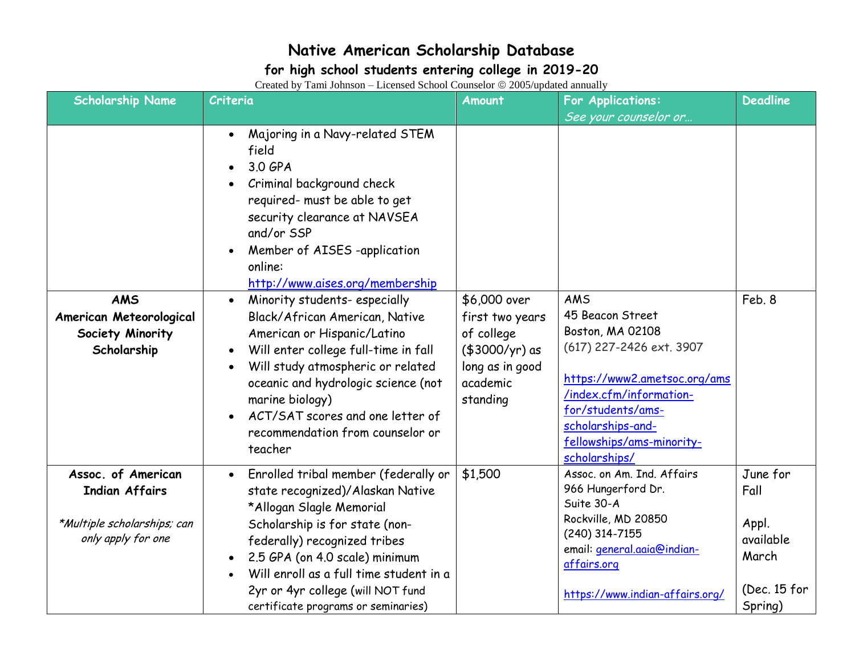#### **for high school students entering college in 2019-20**

| <b>Scholarship Name</b>                                                  | $\alpha$ and $\alpha$ and $\alpha$ and $\alpha$ and $\alpha$ and $\alpha$ and $\alpha$ and $\alpha$ and $\alpha$ and $\alpha$ and $\alpha$<br>Criteria                                                                                                                                                                                                                                                                                                                                                                                                                                | <b>Amount</b>                                                                                              | <b>For Applications:</b>                                                                                                                                                                                                   | <b>Deadline</b>    |
|--------------------------------------------------------------------------|---------------------------------------------------------------------------------------------------------------------------------------------------------------------------------------------------------------------------------------------------------------------------------------------------------------------------------------------------------------------------------------------------------------------------------------------------------------------------------------------------------------------------------------------------------------------------------------|------------------------------------------------------------------------------------------------------------|----------------------------------------------------------------------------------------------------------------------------------------------------------------------------------------------------------------------------|--------------------|
|                                                                          |                                                                                                                                                                                                                                                                                                                                                                                                                                                                                                                                                                                       |                                                                                                            | See your counselor or                                                                                                                                                                                                      |                    |
| <b>AMS</b><br>American Meteorological<br>Society Minority<br>Scholarship | Majoring in a Navy-related STEM<br>field<br>3.0 GPA<br>Criminal background check<br>required- must be able to get<br>security clearance at NAVSEA<br>and/or SSP<br>Member of AISES -application<br>online:<br>http://www.aises.org/membership<br>Minority students-especially<br>$\bullet$<br>Black/African American, Native<br>American or Hispanic/Latino<br>Will enter college full-time in fall<br>Will study atmospheric or related<br>oceanic and hydrologic science (not<br>marine biology)<br>ACT/SAT scores and one letter of<br>recommendation from counselor or<br>teacher | \$6,000 over<br>first two years<br>of college<br>(\$3000/yr) as<br>long as in good<br>academic<br>standing | AMS<br>45 Beacon Street<br>Boston, MA 02108<br>(617) 227-2426 ext. 3907<br>https://www2.ametsoc.org/ams<br>/index.cfm/information-<br>for/students/ams-<br>scholarships-and-<br>fellowships/ams-minority-<br>scholarships/ | Feb. 8             |
| Assoc. of American                                                       | Enrolled tribal member (federally or                                                                                                                                                                                                                                                                                                                                                                                                                                                                                                                                                  | \$1,500                                                                                                    | Assoc. on Am. Ind. Affairs                                                                                                                                                                                                 | June for           |
| <b>Indian Affairs</b>                                                    | state recognized)/Alaskan Native                                                                                                                                                                                                                                                                                                                                                                                                                                                                                                                                                      |                                                                                                            | 966 Hungerford Dr.<br>Suite 30-A                                                                                                                                                                                           | Fall               |
|                                                                          | *Allogan Slagle Memorial                                                                                                                                                                                                                                                                                                                                                                                                                                                                                                                                                              |                                                                                                            | Rockville, MD 20850                                                                                                                                                                                                        |                    |
| *Multiple scholarships; can<br>only apply for one                        | Scholarship is for state (non-                                                                                                                                                                                                                                                                                                                                                                                                                                                                                                                                                        |                                                                                                            | (240) 314-7155                                                                                                                                                                                                             | Appl.<br>available |
|                                                                          | federally) recognized tribes                                                                                                                                                                                                                                                                                                                                                                                                                                                                                                                                                          |                                                                                                            | email: <i>general.aaia@indian-</i>                                                                                                                                                                                         | March              |
|                                                                          | 2.5 GPA (on 4.0 scale) minimum<br>Will enroll as a full time student in a                                                                                                                                                                                                                                                                                                                                                                                                                                                                                                             |                                                                                                            | affairs.org                                                                                                                                                                                                                |                    |
|                                                                          | 2yr or 4yr college (will NOT fund                                                                                                                                                                                                                                                                                                                                                                                                                                                                                                                                                     |                                                                                                            |                                                                                                                                                                                                                            | (Dec. 15 for       |
|                                                                          | certificate programs or seminaries)                                                                                                                                                                                                                                                                                                                                                                                                                                                                                                                                                   |                                                                                                            | https://www.indian-affairs.org/                                                                                                                                                                                            | Spring)            |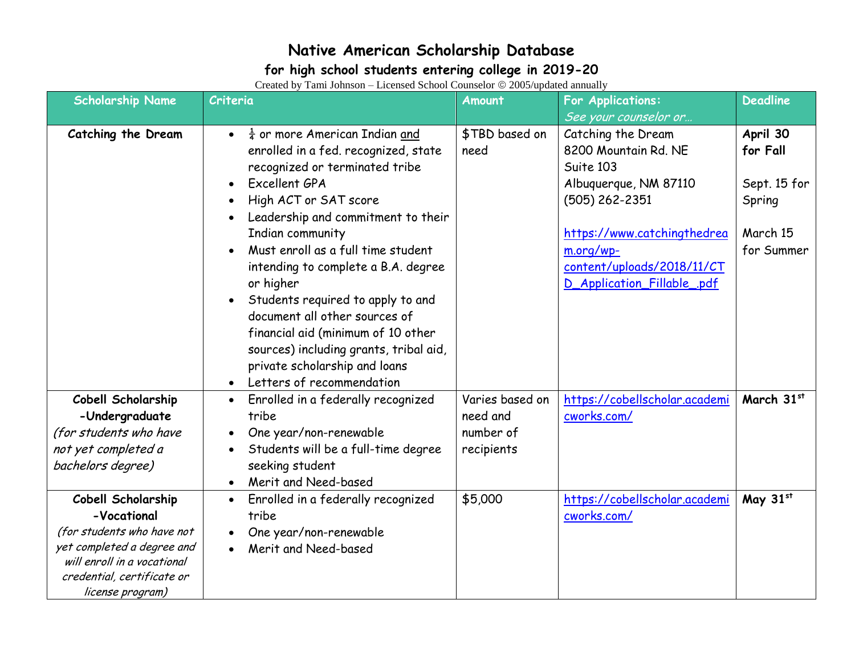### **for high school students entering college in 2019-20**

| <b>Scholarship Name</b>                                                                                                                                    | $\text{Fermon}$ $\sigma$ and $\sigma$ and $\sigma$ are $\sigma$ and $\sigma$ and $\sigma$ and $\sigma$ and $\sigma$ and $\sigma$ and $\sigma$<br>Criteria                                                                                              | Amount                | <b>For Applications:</b>                                  | <b>Deadline</b>        |
|------------------------------------------------------------------------------------------------------------------------------------------------------------|--------------------------------------------------------------------------------------------------------------------------------------------------------------------------------------------------------------------------------------------------------|-----------------------|-----------------------------------------------------------|------------------------|
| Catching the Dream                                                                                                                                         | $\frac{1}{4}$ or more American Indian and                                                                                                                                                                                                              | \$TBD based on        | See your counselor or<br>Catching the Dream               | April 30               |
|                                                                                                                                                            | enrolled in a fed. recognized, state<br>recognized or terminated tribe                                                                                                                                                                                 | need                  | 8200 Mountain Rd. NE<br>Suite 103                         | for Fall               |
|                                                                                                                                                            | Excellent GPA<br>High ACT or SAT score                                                                                                                                                                                                                 |                       | Albuquerque, NM 87110<br>(505) 262-2351                   | Sept. 15 for<br>Spring |
|                                                                                                                                                            | Leadership and commitment to their                                                                                                                                                                                                                     |                       |                                                           |                        |
|                                                                                                                                                            | Indian community<br>Must enroll as a full time student                                                                                                                                                                                                 |                       | https://www.catchingthedrea<br>m.org/wp-                  | March 15<br>for Summer |
|                                                                                                                                                            | intending to complete a B.A. degree<br>or higher                                                                                                                                                                                                       |                       | content/uploads/2018/11/CT<br>D_Application_Fillable_.pdf |                        |
| Cobell Scholarship                                                                                                                                         | Students required to apply to and<br>document all other sources of<br>financial aid (minimum of 10 other<br>sources) including grants, tribal aid,<br>private scholarship and loans<br>Letters of recommendation<br>Enrolled in a federally recognized | Varies based on       | https://cobellscholar.academi                             | March 31st             |
| -Undergraduate<br>(for students who have                                                                                                                   | tribe<br>One year/non-renewable                                                                                                                                                                                                                        | need and<br>number of | cworks.com/                                               |                        |
| not yet completed a<br>bachelors degree)                                                                                                                   | Students will be a full-time degree<br>seeking student<br>Merit and Need-based<br>$\bullet$                                                                                                                                                            | recipients            |                                                           |                        |
| Cobell Scholarship<br>-Vocational<br>(for students who have not<br>yet completed a degree and<br>will enroll in a vocational<br>credential, certificate or | Enrolled in a federally recognized<br>tribe<br>One year/non-renewable<br>Merit and Need-based                                                                                                                                                          | \$5,000               | https://cobellscholar.academi<br>cworks.com/              | May 31st               |
| license program)                                                                                                                                           |                                                                                                                                                                                                                                                        |                       |                                                           |                        |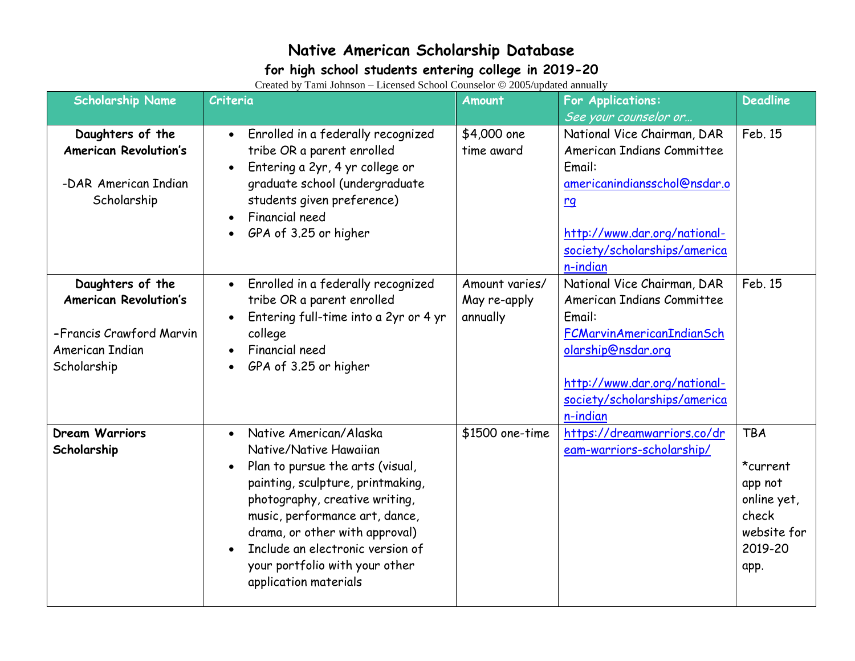### **for high school students entering college in 2019-20**

| <b>Scholarship Name</b>                          | Criteria                                                                      | Amount                    | For Applications:                                         | <b>Deadline</b> |
|--------------------------------------------------|-------------------------------------------------------------------------------|---------------------------|-----------------------------------------------------------|-----------------|
|                                                  |                                                                               |                           | See your counselor or                                     |                 |
| Daughters of the<br><b>American Revolution's</b> | Enrolled in a federally recognized<br>$\bullet$<br>tribe OR a parent enrolled | \$4,000 one<br>time award | National Vice Chairman, DAR<br>American Indians Committee | Feb. 15         |
|                                                  | Entering a 2yr, 4 yr college or                                               |                           | Email:                                                    |                 |
| -DAR American Indian                             | $\bullet$                                                                     |                           | americanindiansschol@nsdar.o                              |                 |
| Scholarship                                      | graduate school (undergraduate<br>students given preference)                  |                           |                                                           |                 |
|                                                  | Financial need<br>$\bullet$                                                   |                           | $rg$                                                      |                 |
|                                                  | GPA of 3.25 or higher                                                         |                           | http://www.dar.org/national-                              |                 |
|                                                  |                                                                               |                           | society/scholarships/america                              |                 |
|                                                  |                                                                               |                           | n-indian                                                  |                 |
|                                                  |                                                                               |                           |                                                           | Feb. 15         |
| Daughters of the                                 | Enrolled in a federally recognized<br>$\bullet$                               | Amount varies/            | National Vice Chairman, DAR                               |                 |
| <b>American Revolution's</b>                     | tribe OR a parent enrolled                                                    | May re-apply              | <b>American Indians Committee</b>                         |                 |
|                                                  | Entering full-time into a 2yr or 4 yr                                         | annually                  | Email:                                                    |                 |
| -Francis Crawford Marvin                         | college                                                                       |                           | FCMarvinAmericanIndianSch                                 |                 |
| American Indian                                  | Financial need                                                                |                           | olarship@nsdar.org                                        |                 |
| Scholarship                                      | GPA of 3.25 or higher                                                         |                           |                                                           |                 |
|                                                  |                                                                               |                           | http://www.dar.org/national-                              |                 |
|                                                  |                                                                               |                           | society/scholarships/america                              |                 |
|                                                  |                                                                               |                           | n-indian                                                  |                 |
| <b>Dream Warriors</b>                            | Native American/Alaska<br>$\bullet$                                           | \$1500 one-time           | https://dreamwarriors.co/dr                               | <b>TBA</b>      |
| Scholarship                                      | Native/Native Hawaiian                                                        |                           | eam-warriors-scholarship/                                 |                 |
|                                                  | Plan to pursue the arts (visual,                                              |                           |                                                           | *current        |
|                                                  | painting, sculpture, printmaking,                                             |                           |                                                           | app not         |
|                                                  | photography, creative writing,                                                |                           |                                                           | online yet,     |
|                                                  | music, performance art, dance,                                                |                           |                                                           | check           |
|                                                  | drama, or other with approval)                                                |                           |                                                           | website for     |
|                                                  | Include an electronic version of                                              |                           |                                                           | 2019-20         |
|                                                  | your portfolio with your other                                                |                           |                                                           | app.            |
|                                                  | application materials                                                         |                           |                                                           |                 |
|                                                  |                                                                               |                           |                                                           |                 |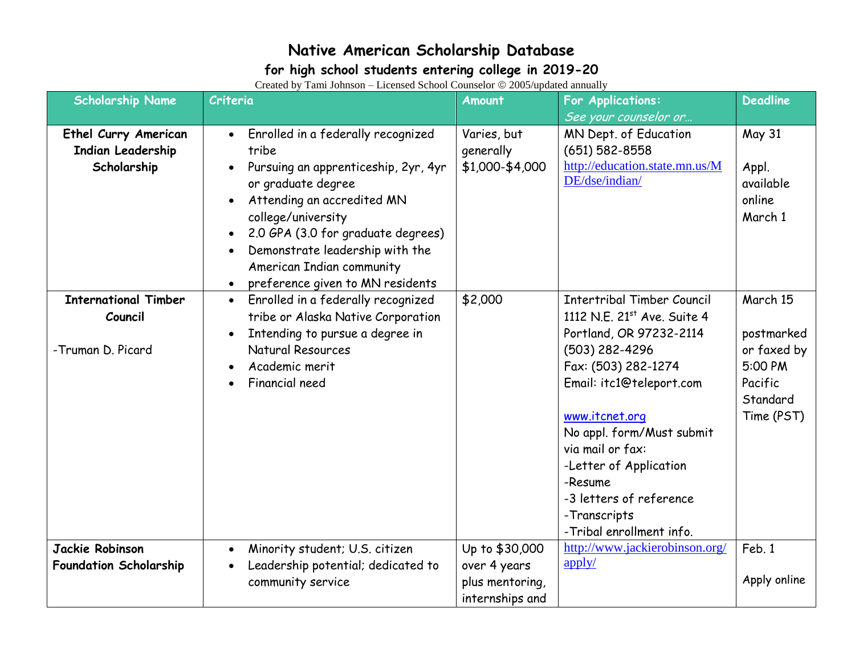### **for high school students entering college in 2019-20**

| <b>Scholarship Name</b>                                                | $C_{\rm 10000}$ $C_{\rm 2000}$ and $C_{\rm 1000}$ $C_{\rm 1000}$ $C_{\rm 0000}$ $C_{\rm 0000}$ appeared annually<br>Criteria                                                                                                                                                                                         | <b>Amount</b>                                                        | <b>For Applications:</b>                                                                                                                                                                                                                                                                                                                        | <b>Deadline</b>                                                                       |
|------------------------------------------------------------------------|----------------------------------------------------------------------------------------------------------------------------------------------------------------------------------------------------------------------------------------------------------------------------------------------------------------------|----------------------------------------------------------------------|-------------------------------------------------------------------------------------------------------------------------------------------------------------------------------------------------------------------------------------------------------------------------------------------------------------------------------------------------|---------------------------------------------------------------------------------------|
|                                                                        |                                                                                                                                                                                                                                                                                                                      |                                                                      | See your counselor or                                                                                                                                                                                                                                                                                                                           |                                                                                       |
| <b>Ethel Curry American</b><br><b>Indian Leadership</b><br>Scholarship | Enrolled in a federally recognized<br>$\bullet$<br>tribe<br>Pursuing an apprenticeship, 2yr, 4yr<br>or graduate degree<br>Attending an accredited MN<br>college/university<br>2.0 GPA (3.0 for graduate degrees)<br>Demonstrate leadership with the<br>American Indian community<br>preference given to MN residents | Varies, but<br>generally<br>\$1,000-\$4,000                          | MN Dept. of Education<br>$(651) 582 - 8558$<br>http://education.state.mn.us/M<br>DE/dse/indian/                                                                                                                                                                                                                                                 | <b>May 31</b><br>Appl.<br>available<br>online<br>March 1                              |
| <b>International Timber</b><br>Council<br>-Truman D. Picard            | Enrolled in a federally recognized<br>$\bullet$<br>tribe or Alaska Native Corporation<br>Intending to pursue a degree in<br>Natural Resources<br>Academic merit<br>Financial need                                                                                                                                    | \$2,000                                                              | <b>Intertribal Timber Council</b><br>1112 N.E. 21st Ave. Suite 4<br>Portland, OR 97232-2114<br>(503) 282-4296<br>Fax: (503) 282-1274<br>Email: itc1@teleport.com<br>www.itcnet.org<br>No appl. form/Must submit<br>via mail or fax:<br>-Letter of Application<br>-Resume<br>-3 letters of reference<br>-Transcripts<br>-Tribal enrollment info. | March 15<br>postmarked<br>or faxed by<br>5:00 PM<br>Pacific<br>Standard<br>Time (PST) |
| Jackie Robinson<br><b>Foundation Scholarship</b>                       | Minority student; U.S. citizen<br>$\bullet$<br>Leadership potential; dedicated to<br>community service                                                                                                                                                                                                               | Up to \$30,000<br>over 4 years<br>plus mentoring,<br>internships and | http://www.jackierobinson.org/<br>$\frac{\text{apply}}{\text{apply}}$                                                                                                                                                                                                                                                                           | Feb. 1<br>Apply online                                                                |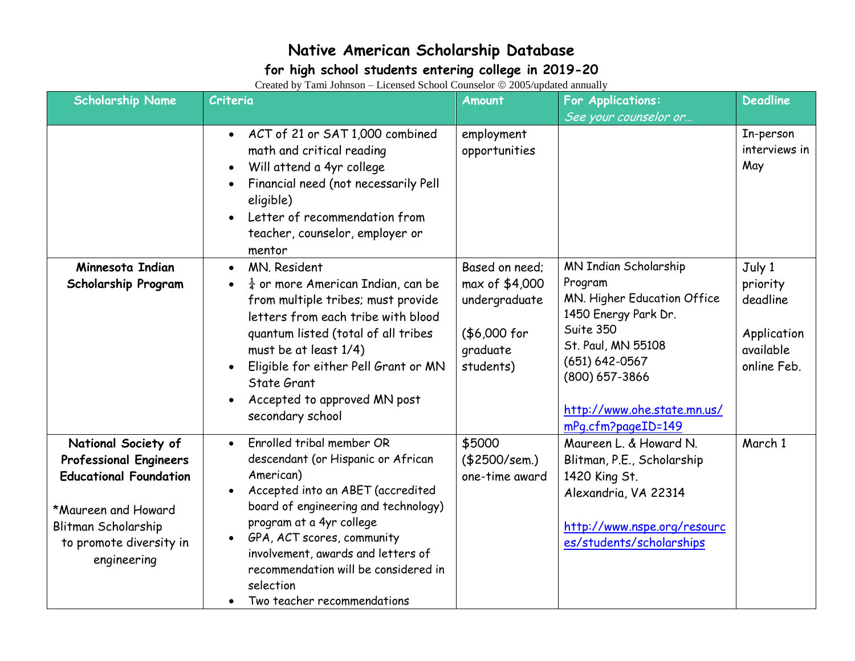### **for high school students entering college in 2019-20**

| <b>Scholarship Name</b>                                                                                                                                                       | $\alpha$ exercise by Tann Tonnson – Electisca Benoof Counscion $\otimes$ 2009/updated annually<br>Criteria                                                                                                                                                                                                                                                 | <b>Amount</b>                                                                              | <b>For Applications:</b>                                                                                                                                                                                                       | <b>Deadline</b>                                                           |
|-------------------------------------------------------------------------------------------------------------------------------------------------------------------------------|------------------------------------------------------------------------------------------------------------------------------------------------------------------------------------------------------------------------------------------------------------------------------------------------------------------------------------------------------------|--------------------------------------------------------------------------------------------|--------------------------------------------------------------------------------------------------------------------------------------------------------------------------------------------------------------------------------|---------------------------------------------------------------------------|
|                                                                                                                                                                               | • ACT of 21 or SAT 1,000 combined<br>math and critical reading<br>Will attend a 4yr college<br>Financial need (not necessarily Pell<br>eligible)<br>Letter of recommendation from<br>teacher, counselor, employer or<br>mentor                                                                                                                             | employment<br>opportunities                                                                | See your counselor or                                                                                                                                                                                                          | In-person<br>interviews in<br>May                                         |
| Minnesota Indian<br><b>Scholarship Program</b>                                                                                                                                | MN. Resident<br>$\bullet$<br>$\frac{1}{4}$ or more American Indian, can be<br>$\bullet$<br>from multiple tribes; must provide<br>letters from each tribe with blood<br>quantum listed (total of all tribes<br>must be at least 1/4)<br>Eligible for either Pell Grant or MN<br>State Grant<br>Accepted to approved MN post<br>secondary school             | Based on need;<br>max of \$4,000<br>undergraduate<br>(\$6,000 for<br>graduate<br>students) | <b>MN Indian Scholarship</b><br>Program<br>MN. Higher Education Office<br>1450 Energy Park Dr.<br>Suite 350<br>St. Paul, MN 55108<br>$(651) 642 - 0567$<br>(800) 657-3866<br>http://www.ohe.state.mn.us/<br>mPg.cfm?pageID=149 | July 1<br>priority<br>deadline<br>Application<br>available<br>online Feb. |
| National Society of<br><b>Professional Engineers</b><br><b>Educational Foundation</b><br>*Maureen and Howard<br>Blitman Scholarship<br>to promote diversity in<br>engineering | Enrolled tribal member OR<br>$\bullet$<br>descendant (or Hispanic or African<br>American)<br>Accepted into an ABET (accredited<br>board of engineering and technology)<br>program at a 4yr college<br>GPA, ACT scores, community<br>involvement, awards and letters of<br>recommendation will be considered in<br>selection<br>Two teacher recommendations | \$5000<br>( \$2500/sem.)<br>one-time award                                                 | Maureen L. & Howard N.<br>Blitman, P.E., Scholarship<br>1420 King St.<br>Alexandria, VA 22314<br>http://www.nspe.org/resourc<br>es/students/scholarships                                                                       | March 1                                                                   |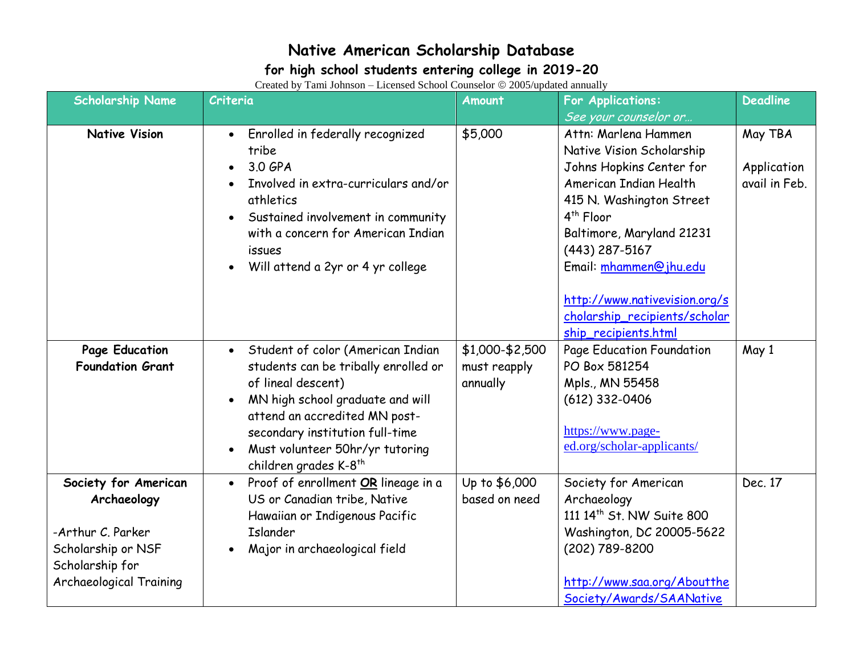### **for high school students entering college in 2019-20**

| <b>Scholarship Name</b>                                                                                                             | $\alpha$ extends by Turn component extended behoor counselor $\alpha$ 2005, appeared annually<br>Criteria                                                                                                                                                                       | <b>Amount</b>                               | For Applications:                                                                                                                                                                                   | <b>Deadline</b>                         |
|-------------------------------------------------------------------------------------------------------------------------------------|---------------------------------------------------------------------------------------------------------------------------------------------------------------------------------------------------------------------------------------------------------------------------------|---------------------------------------------|-----------------------------------------------------------------------------------------------------------------------------------------------------------------------------------------------------|-----------------------------------------|
|                                                                                                                                     |                                                                                                                                                                                                                                                                                 |                                             | See your counselor or                                                                                                                                                                               |                                         |
| <b>Native Vision</b>                                                                                                                | Enrolled in federally recognized<br>$\bullet$<br>tribe<br>3.0 GPA<br>Involved in extra-curriculars and/or<br>athletics<br>Sustained involvement in community<br>with a concern for American Indian<br><i>issues</i>                                                             | \$5,000                                     | Attn: Marlena Hammen<br>Native Vision Scholarship<br>Johns Hopkins Center for<br>American Indian Health<br>415 N. Washington Street<br>$4th$ Floor<br>Baltimore, Maryland 21231<br>$(443)$ 287-5167 | May TBA<br>Application<br>avail in Feb. |
|                                                                                                                                     | Will attend a 2yr or 4 yr college                                                                                                                                                                                                                                               |                                             | Email: mhammen@jhu.edu<br>http://www.nativevision.org/s<br>cholarship_recipients/scholar<br>ship_recipients.html                                                                                    |                                         |
| Page Education<br><b>Foundation Grant</b>                                                                                           | Student of color (American Indian<br>students can be tribally enrolled or<br>of lineal descent)<br>MN high school graduate and will<br>attend an accredited MN post-<br>secondary institution full-time<br>Must volunteer 50hr/yr tutoring<br>children grades K-8 <sup>th</sup> | \$1,000-\$2,500<br>must reapply<br>annually | Page Education Foundation<br>PO Box 581254<br>Mpls., MN 55458<br>$(612)$ 332-0406<br>https://www.page-<br>ed.org/scholar-applicants/                                                                | May 1                                   |
| Society for American<br>Archaeology<br>-Arthur C. Parker<br>Scholarship or NSF<br>Scholarship for<br><b>Archaeological Training</b> | Proof of enrollment OR lineage in a<br>$\bullet$<br>US or Canadian tribe, Native<br>Hawaiian or Indigenous Pacific<br><b>Islander</b><br>Major in archaeological field                                                                                                          | Up to \$6,000<br>based on need              | Society for American<br>Archaeology<br>111 14th St. NW Suite 800<br>Washington, DC 20005-5622<br>(202) 789-8200<br>http://www.saa.org/Aboutthe<br>Society/Awards/SAANative                          | Dec. 17                                 |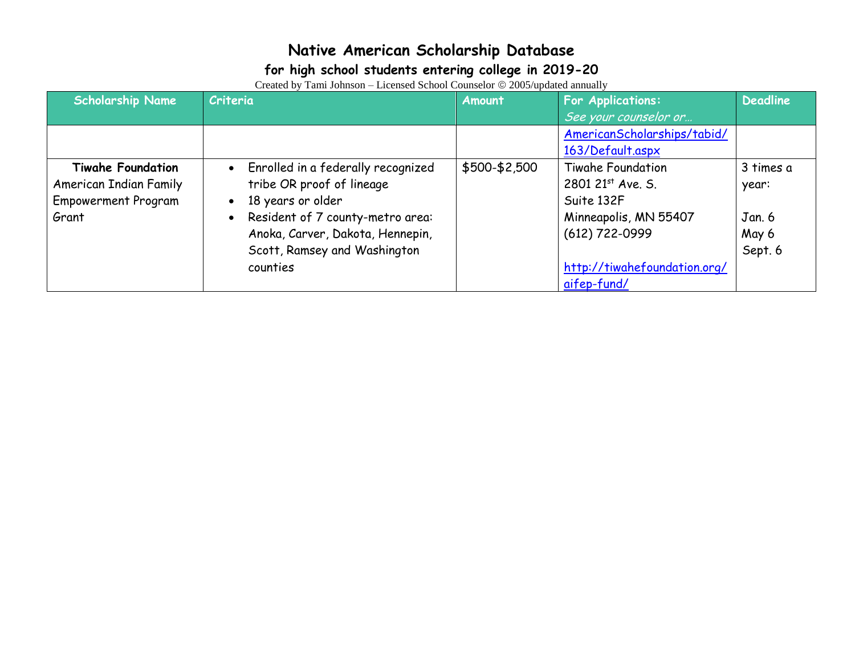### **for high school students entering college in 2019-20**

| <b>Scholarship Name</b>    | Criteria                           | Amount        | For Applications:            | <b>Deadline</b> |
|----------------------------|------------------------------------|---------------|------------------------------|-----------------|
|                            |                                    |               | See your counselor or        |                 |
|                            |                                    |               | AmericanScholarships/tabid/  |                 |
|                            |                                    |               | 163/Default.aspx             |                 |
| <b>Tiwahe Foundation</b>   | Enrolled in a federally recognized | \$500-\$2,500 | Tiwahe Foundation            | 3 times a       |
| American Indian Family     | tribe OR proof of lineage          |               | 2801 21st Ave. S.            | year:           |
| <b>Empowerment Program</b> | 18 years or older                  |               | Suite 132F                   |                 |
| Grant                      | Resident of 7 county-metro area:   |               | Minneapolis, MN 55407        | Jan. 6          |
|                            | Anoka, Carver, Dakota, Hennepin,   |               | $(612)$ 722-0999             | May 6           |
|                            | Scott, Ramsey and Washington       |               |                              | Sept. 6         |
|                            | counties                           |               | http://tiwahefoundation.org/ |                 |
|                            |                                    |               | aifep-fund/                  |                 |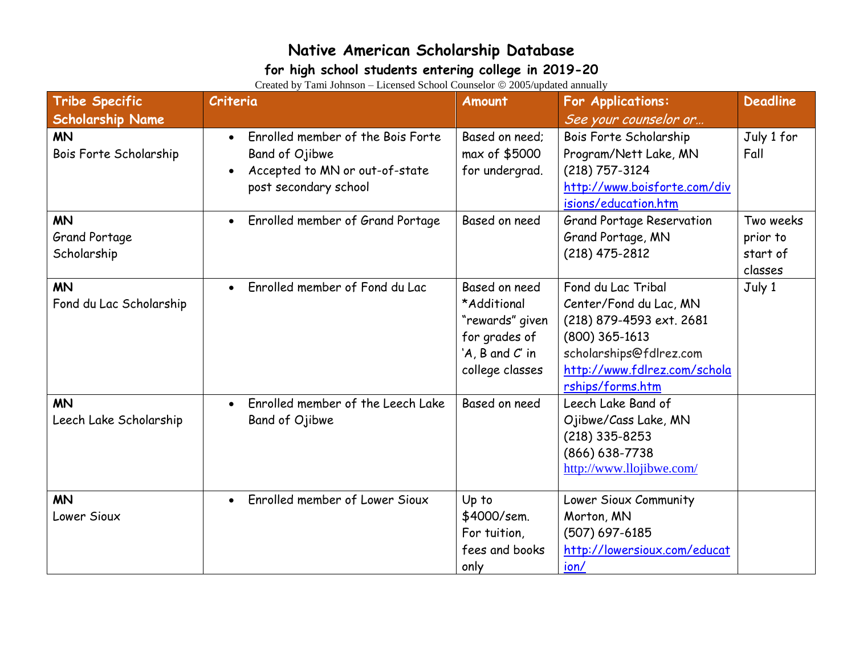#### **for high school students entering college in 2019-20**

| <b>Tribe Specific</b><br><b>Scholarship Name</b> | Criteria                                                                                                                    | Amount                                                                                                        | <b>For Applications:</b><br>See your counselor or                                                                                                                           | <b>Deadline</b>                              |
|--------------------------------------------------|-----------------------------------------------------------------------------------------------------------------------------|---------------------------------------------------------------------------------------------------------------|-----------------------------------------------------------------------------------------------------------------------------------------------------------------------------|----------------------------------------------|
| <b>MN</b><br>Bois Forte Scholarship              | Enrolled member of the Bois Forte<br>$\bullet$<br>Band of Ojibwe<br>Accepted to MN or out-of-state<br>post secondary school | Based on need;<br>max of \$5000<br>for undergrad.                                                             | Bois Forte Scholarship<br>Program/Nett Lake, MN<br>$(218)$ 757-3124<br>http://www.boisforte.com/div<br>isions/education.htm                                                 | July 1 for<br>Fall                           |
| <b>MN</b><br>Grand Portage<br>Scholarship        | Enrolled member of Grand Portage<br>$\bullet$                                                                               | Based on need                                                                                                 | <b>Grand Portage Reservation</b><br>Grand Portage, MN<br>$(218)$ 475-2812                                                                                                   | Two weeks<br>prior to<br>start of<br>classes |
| <b>MN</b><br>Fond du Lac Scholarship             | Enrolled member of Fond du Lac<br>$\bullet$                                                                                 | Based on need<br>*Additional<br>"rewards" given<br>for grades of<br>$'A$ , $B$ and $C'$ in<br>college classes | Fond du Lac Tribal<br>Center/Fond du Lac, MN<br>(218) 879-4593 ext. 2681<br>$(800)$ 365-1613<br>scholarships@fdlrez.com<br>http://www.fdlrez.com/schola<br>rships/forms.htm | July 1                                       |
| <b>MN</b><br>Leech Lake Scholarship              | Enrolled member of the Leech Lake<br>$\bullet$<br>Band of Ojibwe                                                            | Based on need                                                                                                 | Leech Lake Band of<br>Ojibwe/Cass Lake, MN<br>$(218)$ 335-8253<br>$(866) 638 - 7738$<br>http://www.llojibwe.com/                                                            |                                              |
| <b>MN</b><br>Lower Sioux                         | Enrolled member of Lower Sioux<br>$\bullet$                                                                                 | Up to<br>\$4000/sem.<br>For tuition,<br>fees and books<br>only                                                | Lower Sioux Community<br>Morton, MN<br>$(507) 697 - 6185$<br>http://lowersioux.com/educat<br>ion/                                                                           |                                              |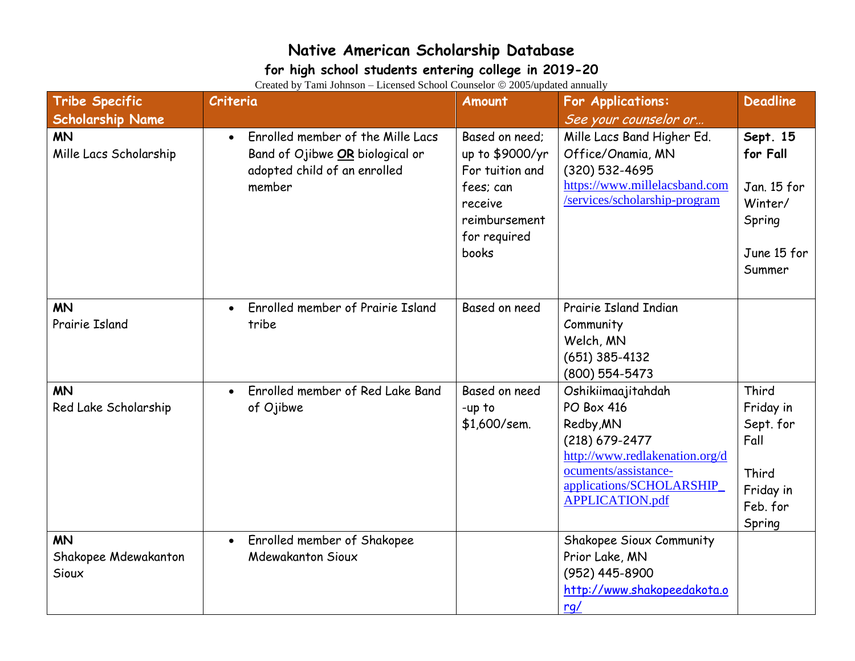#### **for high school students entering college in 2019-20**

| <b>Tribe Specific</b>                      | Criteria                                                                                                                    | <b>Amount</b>                                                                                                          | <b>For Applications:</b>                                                                                                                                                               | <b>Deadline</b>                                                                     |
|--------------------------------------------|-----------------------------------------------------------------------------------------------------------------------------|------------------------------------------------------------------------------------------------------------------------|----------------------------------------------------------------------------------------------------------------------------------------------------------------------------------------|-------------------------------------------------------------------------------------|
| <b>Scholarship Name</b>                    |                                                                                                                             |                                                                                                                        | See your counselor or                                                                                                                                                                  |                                                                                     |
| <b>MN</b><br>Mille Lacs Scholarship        | Enrolled member of the Mille Lacs<br>$\bullet$<br>Band of Ojibwe OR biological or<br>adopted child of an enrolled<br>member | Based on need;<br>up to \$9000/yr<br>For tuition and<br>fees; can<br>receive<br>reimbursement<br>for required<br>books | Mille Lacs Band Higher Ed.<br>Office/Onamia, MN<br>(320) 532-4695<br>https://www.millelacsband.com<br>/services/scholarship-program                                                    | Sept. 15<br>for Fall<br>Jan. 15 for<br>Winter/<br>Spring<br>June 15 for<br>Summer   |
| <b>MN</b><br>Prairie Island                | Enrolled member of Prairie Island<br>$\bullet$<br>tribe                                                                     | Based on need                                                                                                          | Prairie Island Indian<br>Community<br>Welch, MN<br>$(651)$ 385-4132<br>(800) 554-5473                                                                                                  |                                                                                     |
| <b>MN</b><br>Red Lake Scholarship          | Enrolled member of Red Lake Band<br>of Ojibwe                                                                               | Based on need<br>-up to<br>\$1,600/sem.                                                                                | Oshikiimaajitahdah<br><b>PO Box 416</b><br>Redby, MN<br>(218) 679-2477<br>http://www.redlakenation.org/d<br>ocuments/assistance-<br>applications/SCHOLARSHIP<br><b>APPLICATION.pdf</b> | Third<br>Friday in<br>Sept. for<br>Fall<br>Third<br>Friday in<br>Feb. for<br>Spring |
| <b>MN</b><br>Shakopee Mdewakanton<br>Sioux | Enrolled member of Shakopee<br>$\bullet$<br>Mdewakanton Sioux                                                               |                                                                                                                        | Shakopee Sioux Community<br>Prior Lake, MN<br>(952) 445-8900<br>http://www.shakopeedakota.o<br>rq/                                                                                     |                                                                                     |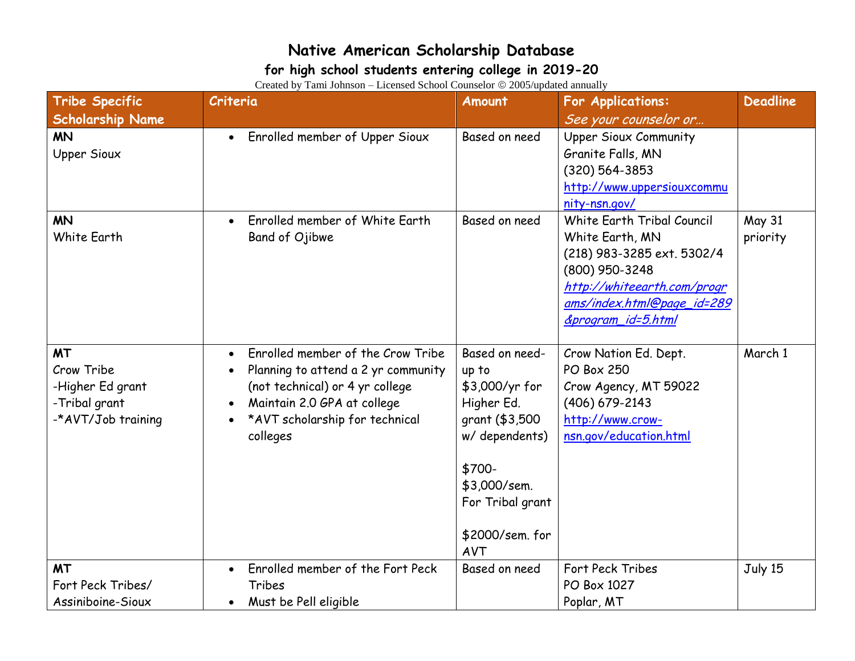### **for high school students entering college in 2019-20**

| <b>Tribe Specific</b>                                                              | Criteria                                                                                                                                                                                              | Amount                                                                                                                                                              | <b>For Applications:</b>                                                                                                                                                         | <b>Deadline</b>           |
|------------------------------------------------------------------------------------|-------------------------------------------------------------------------------------------------------------------------------------------------------------------------------------------------------|---------------------------------------------------------------------------------------------------------------------------------------------------------------------|----------------------------------------------------------------------------------------------------------------------------------------------------------------------------------|---------------------------|
| <b>Scholarship Name</b>                                                            |                                                                                                                                                                                                       |                                                                                                                                                                     | See your counselor or                                                                                                                                                            |                           |
| <b>MN</b><br><b>Upper Sioux</b>                                                    | Enrolled member of Upper Sioux<br>$\bullet$                                                                                                                                                           | Based on need                                                                                                                                                       | <b>Upper Sioux Community</b><br>Granite Falls, MN<br>(320) 564-3853<br>http://www.uppersiouxcommu<br>nity-nsn.gov/                                                               |                           |
| <b>MN</b><br>White Earth                                                           | Enrolled member of White Earth<br>Band of Ojibwe                                                                                                                                                      | Based on need                                                                                                                                                       | White Earth Tribal Council<br>White Earth, MN<br>(218) 983-3285 ext. 5302/4<br>(800) 950-3248<br>http://whiteearth.com/progr<br>ams/index.html@page_id=289<br>&program_id=5.html | <b>May 31</b><br>priority |
| <b>MT</b><br>Crow Tribe<br>-Higher Ed grant<br>-Tribal grant<br>-*AVT/Job training | Enrolled member of the Crow Tribe<br>$\bullet$<br>Planning to attend a 2 yr community<br>(not technical) or 4 yr college<br>Maintain 2.0 GPA at college<br>*AVT scholarship for technical<br>colleges | Based on need-<br>up to<br>\$3,000/yr for<br>Higher Ed.<br>grant (\$3,500<br>w/ dependents)<br>\$700-<br>\$3,000/sem.<br>For Tribal grant<br>\$2000/sem. for<br>AVT | Crow Nation Ed. Dept.<br><b>PO Box 250</b><br>Crow Agency, MT 59022<br>(406) 679-2143<br>http://www.crow-<br>nsn.gov/education.html                                              | March 1                   |
| <b>MT</b>                                                                          | Enrolled member of the Fort Peck                                                                                                                                                                      | Based on need                                                                                                                                                       | Fort Peck Tribes                                                                                                                                                                 | July 15                   |
| Fort Peck Tribes/                                                                  | Tribes                                                                                                                                                                                                |                                                                                                                                                                     | PO Box 1027                                                                                                                                                                      |                           |
| Assiniboine-Sioux                                                                  | Must be Pell eligible                                                                                                                                                                                 |                                                                                                                                                                     | Poplar, MT                                                                                                                                                                       |                           |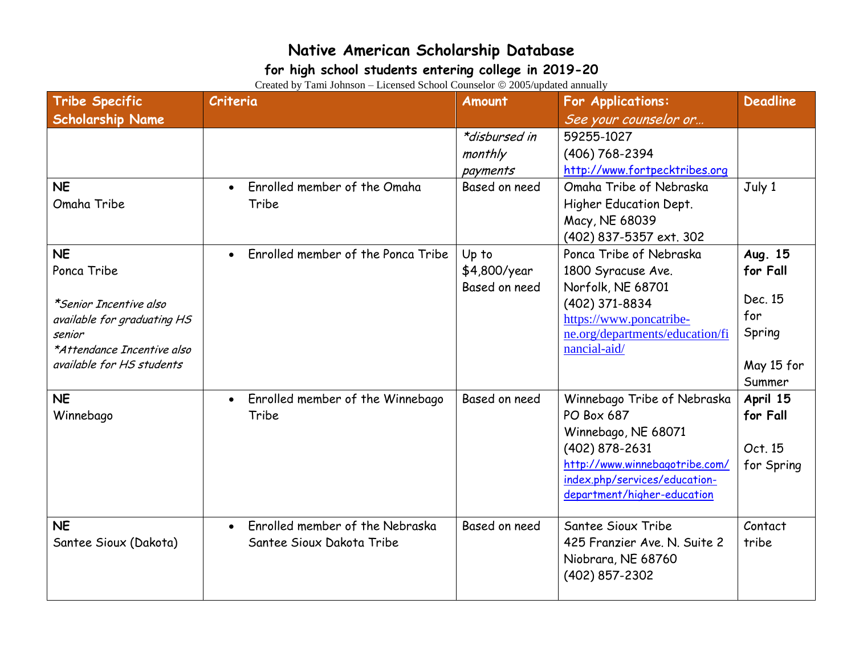#### **for high school students entering college in 2019-20**

| <b>Tribe Specific</b><br><b>Scholarship Name</b>                                                                                                       | Criteria                                                                  | Amount                                 | <b>For Applications:</b><br>See your counselor or                                                                                                                                           | <b>Deadline</b>                                                         |
|--------------------------------------------------------------------------------------------------------------------------------------------------------|---------------------------------------------------------------------------|----------------------------------------|---------------------------------------------------------------------------------------------------------------------------------------------------------------------------------------------|-------------------------------------------------------------------------|
|                                                                                                                                                        |                                                                           | *disbursed in<br>monthly<br>payments   | 59255-1027<br>(406) 768-2394<br>http://www.fortpecktribes.org                                                                                                                               |                                                                         |
| <b>NE</b><br>Omaha Tribe                                                                                                                               | Enrolled member of the Omaha<br>$\bullet$<br>Tribe                        | Based on need                          | Omaha Tribe of Nebraska<br>Higher Education Dept.<br>Macy, NE 68039<br>(402) 837-5357 ext. 302                                                                                              | July 1                                                                  |
| <b>NE</b><br>Ponca Tribe<br>*Senior Incentive also<br>available for graduating HS<br>senior<br>*Attendance Incentive also<br>available for HS students | Enrolled member of the Ponca Tribe                                        | Up to<br>\$4,800/year<br>Based on need | Ponca Tribe of Nebraska<br>1800 Syracuse Ave.<br>Norfolk, NE 68701<br>(402) 371-8834<br>https://www.poncatribe-<br>ne.org/departments/education/fi<br>nancial-aid/                          | Aug. 15<br>for Fall<br>Dec. 15<br>for<br>Spring<br>May 15 for<br>Summer |
| <b>NE</b><br>Winnebago                                                                                                                                 | Enrolled member of the Winnebago<br>$\bullet$<br>Tribe                    | Based on need                          | Winnebago Tribe of Nebraska<br><b>PO Box 687</b><br>Winnebago, NE 68071<br>(402) 878-2631<br>http://www.winnebagotribe.com/<br>index.php/services/education-<br>department/higher-education | April 15<br>for Fall<br>Oct. 15<br>for Spring                           |
| <b>NE</b><br>Santee Sioux (Dakota)                                                                                                                     | Enrolled member of the Nebraska<br>$\bullet$<br>Santee Sioux Dakota Tribe | Based on need                          | Santee Sioux Tribe<br>425 Franzier Ave. N. Suite 2<br>Niobrara, NE 68760<br>(402) 857-2302                                                                                                  | Contact<br>tribe                                                        |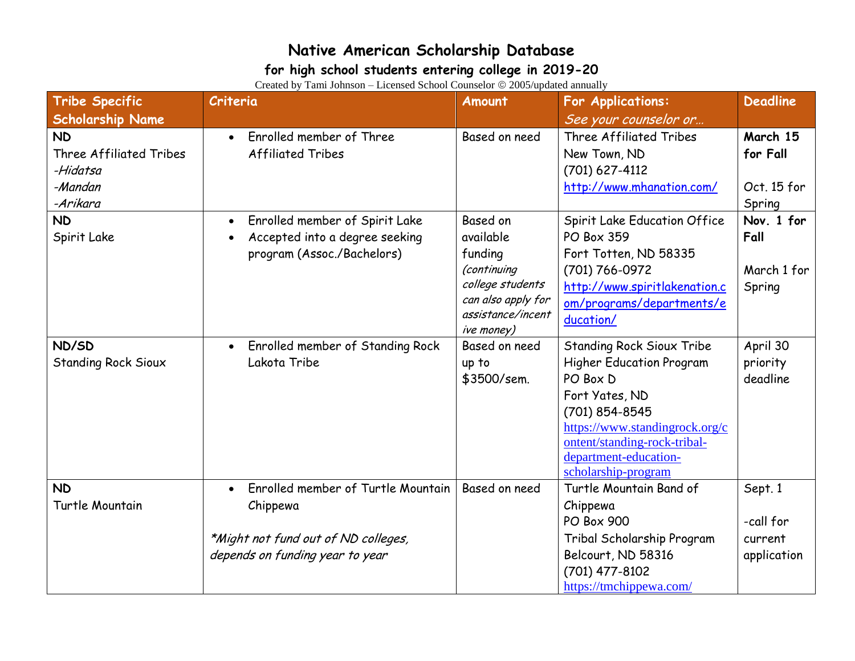### **for high school students entering college in 2019-20**

| <b>Tribe Specific</b>                                                                         | $r$ and $r$ of those belove belove $r$ of $r$ and $r$ $\sim$ $\frac{1}{20000}$ applies and $r$<br>Criteria                            | Amount                                                                                                                       | <b>For Applications:</b>                                                                                                                                                                                                              | <b>Deadline</b>                                       |
|-----------------------------------------------------------------------------------------------|---------------------------------------------------------------------------------------------------------------------------------------|------------------------------------------------------------------------------------------------------------------------------|---------------------------------------------------------------------------------------------------------------------------------------------------------------------------------------------------------------------------------------|-------------------------------------------------------|
| <b>Scholarship Name</b><br><b>ND</b><br><b>Three Affiliated Tribes</b><br>-Hidatsa<br>-Mandan | Enrolled member of Three<br>$\bullet$<br><b>Affiliated Tribes</b>                                                                     | Based on need                                                                                                                | See your counselor or<br>Three Affiliated Tribes<br>New Town, ND<br>(701) 627-4112<br>http://www.mhanation.com/                                                                                                                       | March 15<br>for Fall<br>Oct. 15 for                   |
| -Arikara<br><b>ND</b><br>Spirit Lake                                                          | Enrolled member of Spirit Lake<br>Accepted into a degree seeking<br>program (Assoc./Bachelors)                                        | Based on<br>available<br>funding<br>(continuing<br>college students<br>can also apply for<br>assistance/incent<br>ive money) | Spirit Lake Education Office<br><b>PO Box 359</b><br>Fort Totten, ND 58335<br>(701) 766-0972<br>http://www.spiritlakenation.c<br>om/programs/departments/e<br>ducation/                                                               | Spring<br>Nov. 1 for<br>Fall<br>March 1 for<br>Spring |
| ND/SD<br><b>Standing Rock Sioux</b>                                                           | Enrolled member of Standing Rock<br>$\bullet$<br>Lakota Tribe                                                                         | Based on need<br>up to<br>\$3500/sem.                                                                                        | <b>Standing Rock Sioux Tribe</b><br><b>Higher Education Program</b><br>PO Box D<br>Fort Yates, ND<br>(701) 854-8545<br>https://www.standingrock.org/c<br>ontent/standing-rock-tribal-<br>department-education-<br>scholarship-program | April 30<br>priority<br>deadline                      |
| <b>ND</b><br>Turtle Mountain                                                                  | Enrolled member of Turtle Mountain<br>$\bullet$<br>Chippewa<br>*Might not fund out of ND colleges,<br>depends on funding year to year | Based on need                                                                                                                | Turtle Mountain Band of<br>Chippewa<br><b>PO Box 900</b><br>Tribal Scholarship Program<br>Belcourt, ND 58316<br>(701) 477-8102<br>https://tmchippewa.com/                                                                             | Sept. 1<br>-call for<br>current<br>application        |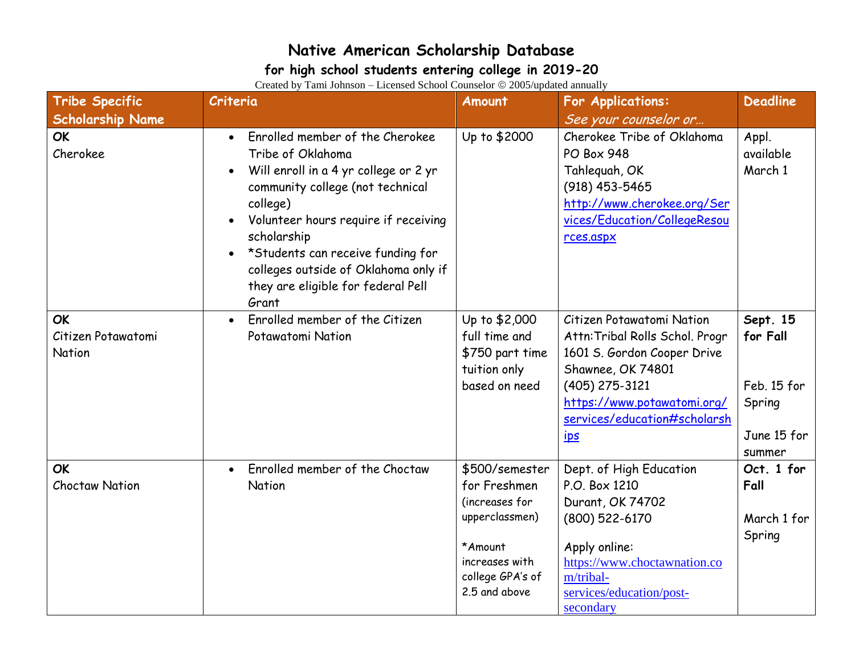#### **for high school students entering college in 2019-20**

| <b>Tribe Specific</b>                     | Criteria                                                                                                                                                                                                                                                                                                                                      | Amount                                                                                                                               | <b>For Applications:</b>                                                                                                                                                                                        | <b>Deadline</b>                                                        |
|-------------------------------------------|-----------------------------------------------------------------------------------------------------------------------------------------------------------------------------------------------------------------------------------------------------------------------------------------------------------------------------------------------|--------------------------------------------------------------------------------------------------------------------------------------|-----------------------------------------------------------------------------------------------------------------------------------------------------------------------------------------------------------------|------------------------------------------------------------------------|
| <b>Scholarship Name</b>                   |                                                                                                                                                                                                                                                                                                                                               |                                                                                                                                      | See your counselor or                                                                                                                                                                                           |                                                                        |
| <b>OK</b><br>Cherokee                     | Enrolled member of the Cherokee<br>$\bullet$<br>Tribe of Oklahoma<br>Will enroll in a 4 yr college or 2 yr<br>community college (not technical<br>college)<br>Volunteer hours require if receiving<br>scholarship<br>*Students can receive funding for<br>colleges outside of Oklahoma only if<br>they are eligible for federal Pell<br>Grant | Up to \$2000                                                                                                                         | Cherokee Tribe of Oklahoma<br><b>PO Box 948</b><br>Tahleguah, OK<br>(918) 453-5465<br>http://www.cherokee.org/Ser<br>vices/Education/CollegeResou<br>rces.aspx                                                  | Appl.<br>available<br>March 1                                          |
| <b>OK</b><br>Citizen Potawatomi<br>Nation | Enrolled member of the Citizen<br>$\bullet$<br>Potawatomi Nation                                                                                                                                                                                                                                                                              | Up to \$2,000<br>full time and<br>\$750 part time<br>tuition only<br>based on need                                                   | Citizen Potawatomi Nation<br>Attn: Tribal Rolls Schol. Progr<br>1601 S. Gordon Cooper Drive<br>Shawnee, OK 74801<br>(405) 275-3121<br>https://www.potawatomi.org/<br>services/education#scholarsh<br><u>ips</u> | Sept. 15<br>for Fall<br>Feb. 15 for<br>Spring<br>June 15 for<br>summer |
| <b>OK</b><br><b>Choctaw Nation</b>        | Enrolled member of the Choctaw<br>$\bullet$<br>Nation                                                                                                                                                                                                                                                                                         | \$500/semester<br>for Freshmen<br>(increases for<br>upperclassmen)<br>*Amount<br>increases with<br>college GPA's of<br>2.5 and above | Dept. of High Education<br>P.O. Box 1210<br>Durant, OK 74702<br>(800) 522-6170<br>Apply online:<br>https://www.choctawnation.co<br>m/tribal-<br>services/education/post-<br>secondary                           | Oct. 1 for<br>Fall<br>March 1 for<br>Spring                            |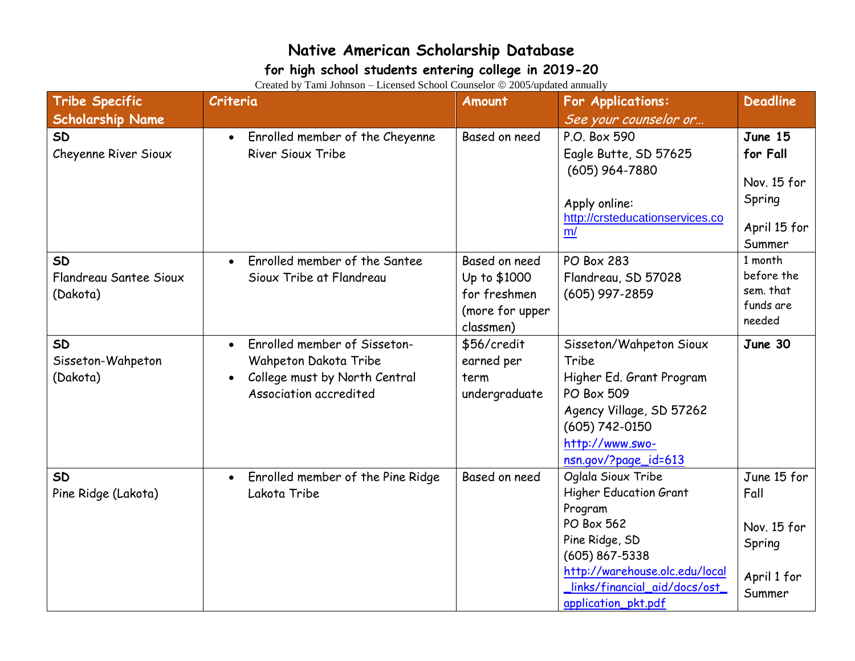#### **for high school students entering college in 2019-20**

| <b>Tribe Specific</b>                           | $\alpha$ calculation and $\alpha$ is the control of $\alpha$ completed $\alpha$ and $\alpha$ and $\alpha$ and $\alpha$<br>Criteria | Amount                                                                        | For Applications:                                                                                                                                                                                               | <b>Deadline</b>                                                        |
|-------------------------------------------------|------------------------------------------------------------------------------------------------------------------------------------|-------------------------------------------------------------------------------|-----------------------------------------------------------------------------------------------------------------------------------------------------------------------------------------------------------------|------------------------------------------------------------------------|
| <b>Scholarship Name</b>                         |                                                                                                                                    |                                                                               | See your counselor or                                                                                                                                                                                           |                                                                        |
| <b>SD</b><br>Cheyenne River Sioux               | Enrolled member of the Cheyenne<br>$\bullet$<br><b>River Sioux Tribe</b>                                                           | Based on need                                                                 | P.O. Box 590<br>Eagle Butte, SD 57625<br>$(605)$ 964-7880<br>Apply online:<br>http://crsteducationservices.co<br>m/                                                                                             | June 15<br>for Fall<br>Nov. 15 for<br>Spring<br>April 15 for<br>Summer |
| <b>SD</b><br>Flandreau Santee Sioux<br>(Dakota) | Enrolled member of the Santee<br>Sioux Tribe at Flandreau                                                                          | Based on need<br>Up to \$1000<br>for freshmen<br>(more for upper<br>classmen) | <b>PO Box 283</b><br>Flandreau, SD 57028<br>$(605)$ 997-2859                                                                                                                                                    | 1 month<br>before the<br>sem. that<br>funds are<br>needed              |
| <b>SD</b><br>Sisseton-Wahpeton<br>(Dakota)      | Enrolled member of Sisseton-<br>$\bullet$<br>Wahpeton Dakota Tribe<br>College must by North Central<br>Association accredited      | \$56/credit<br>earned per<br>term<br>undergraduate                            | Sisseton/Wahpeton Sioux<br>Tribe<br>Higher Ed. Grant Program<br>PO Box 509<br>Agency Village, SD 57262<br>(605) 742-0150<br>http://www.swo-<br>nsn.gov/?page_id=613                                             | June 30                                                                |
| <b>SD</b><br>Pine Ridge (Lakota)                | Enrolled member of the Pine Ridge<br>Lakota Tribe                                                                                  | Based on need                                                                 | Oglala Sioux Tribe<br><b>Higher Education Grant</b><br>Program<br>PO Box 562<br>Pine Ridge, SD<br>$(605) 867 - 5338$<br>http://warehouse.olc.edu/local<br>_links/financial_aid/docs/ost_<br>application_pkt.pdf | June 15 for<br>Fall<br>Nov. 15 for<br>Spring<br>April 1 for<br>Summer  |